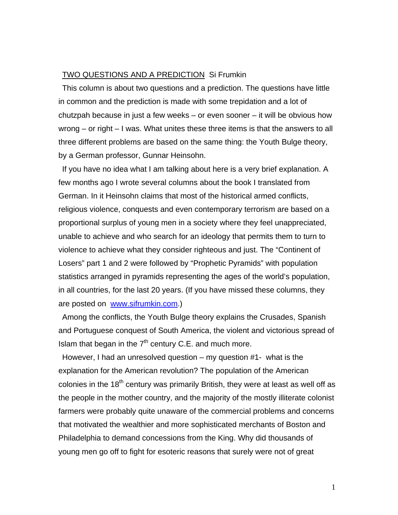## TWO QUESTIONS AND A PREDICTION Si Frumkin

This column is about two questions and a prediction. The questions have little in common and the prediction is made with some trepidation and a lot of chutzpah because in just a few weeks – or even sooner – it will be obvious how wrong – or right – I was. What unites these three items is that the answers to all three different problems are based on the same thing: the Youth Bulge theory, by a German professor, Gunnar Heinsohn.

If you have no idea what I am talking about here is a very brief explanation. A few months ago I wrote several columns about the book I translated from German. In it Heinsohn claims that most of the historical armed conflicts, religious violence, conquests and even contemporary terrorism are based on a proportional surplus of young men in a society where they feel unappreciated, unable to achieve and who search for an ideology that permits them to turn to violence to achieve what they consider righteous and just. The "Continent of Losers" part 1 and 2 were followed by "Prophetic Pyramids" with population statistics arranged in pyramids representing the ages of the world's population, in all countries, for the last 20 years. (If you have missed these columns, they are posted on www.sifrumkin.com.)

Among the conflicts, the Youth Bulge theory explains the Crusades, Spanish and Portuguese conquest of South America, the violent and victorious spread of Islam that began in the  $7<sup>th</sup>$  century C.E. and much more.

However, I had an unresolved question – my question #1- what is the explanation for the American revolution? The population of the American colonies in the  $18<sup>th</sup>$  century was primarily British, they were at least as well off as the people in the mother country, and the majority of the mostly illiterate colonist farmers were probably quite unaware of the commercial problems and concerns that motivated the wealthier and more sophisticated merchants of Boston and Philadelphia to demand concessions from the King. Why did thousands of young men go off to fight for esoteric reasons that surely were not of great

1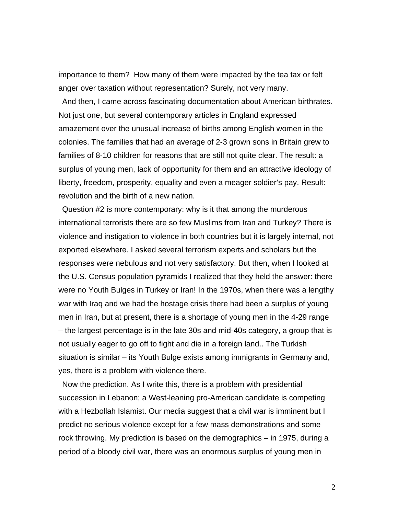importance to them? How many of them were impacted by the tea tax or felt anger over taxation without representation? Surely, not very many.

And then, I came across fascinating documentation about American birthrates. Not just one, but several contemporary articles in England expressed amazement over the unusual increase of births among English women in the colonies. The families that had an average of 2-3 grown sons in Britain grew to families of 8-10 children for reasons that are still not quite clear. The result: a surplus of young men, lack of opportunity for them and an attractive ideology of liberty, freedom, prosperity, equality and even a meager soldier's pay. Result: revolution and the birth of a new nation.

Question #2 is more contemporary: why is it that among the murderous international terrorists there are so few Muslims from Iran and Turkey? There is violence and instigation to violence in both countries but it is largely internal, not exported elsewhere. I asked several terrorism experts and scholars but the responses were nebulous and not very satisfactory. But then, when I looked at the U.S. Census population pyramids I realized that they held the answer: there were no Youth Bulges in Turkey or Iran! In the 1970s, when there was a lengthy war with Iraq and we had the hostage crisis there had been a surplus of young men in Iran, but at present, there is a shortage of young men in the 4-29 range – the largest percentage is in the late 30s and mid-40s category, a group that is not usually eager to go off to fight and die in a foreign land.. The Turkish situation is similar – its Youth Bulge exists among immigrants in Germany and, yes, there is a problem with violence there.

Now the prediction. As I write this, there is a problem with presidential succession in Lebanon; a West-leaning pro-American candidate is competing with a Hezbollah Islamist. Our media suggest that a civil war is imminent but I predict no serious violence except for a few mass demonstrations and some rock throwing. My prediction is based on the demographics – in 1975, during a period of a bloody civil war, there was an enormous surplus of young men in

2